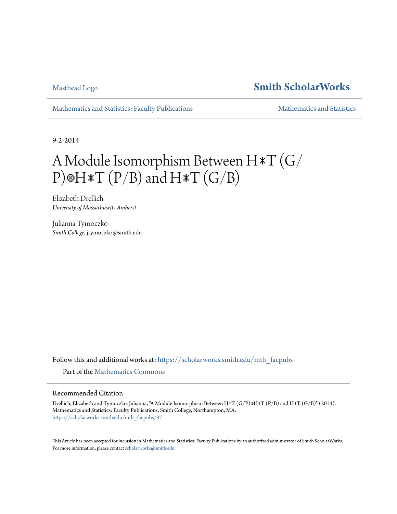## [Masthead Logo](http://www.smith.edu/?utm_source=scholarworks.smith.edu%2Fmth_facpubs%2F37&utm_medium=PDF&utm_campaign=PDFCoverPages) **[Smith ScholarWorks](https://scholarworks.smith.edu?utm_source=scholarworks.smith.edu%2Fmth_facpubs%2F37&utm_medium=PDF&utm_campaign=PDFCoverPages)**

[Mathematics and Statistics: Faculty Publications](https://scholarworks.smith.edu/mth_facpubs?utm_source=scholarworks.smith.edu%2Fmth_facpubs%2F37&utm_medium=PDF&utm_campaign=PDFCoverPages) [Mathematics and Statistics](https://scholarworks.smith.edu/mth?utm_source=scholarworks.smith.edu%2Fmth_facpubs%2F37&utm_medium=PDF&utm_campaign=PDFCoverPages) and Statistics

9-2-2014

# A Module Isomorphism Between H∗T (G/ P)⊗H $\ast$ T (P/B) and H $\ast$ T (G/B)

Elizabeth Drellich *University of Massachusetts Amherst*

Julianna Tymoczko *Smith College*, jtymoczko@smith.edu

Follow this and additional works at: [https://scholarworks.smith.edu/mth\\_facpubs](https://scholarworks.smith.edu/mth_facpubs?utm_source=scholarworks.smith.edu%2Fmth_facpubs%2F37&utm_medium=PDF&utm_campaign=PDFCoverPages) Part of the [Mathematics Commons](http://network.bepress.com/hgg/discipline/174?utm_source=scholarworks.smith.edu%2Fmth_facpubs%2F37&utm_medium=PDF&utm_campaign=PDFCoverPages)

#### Recommended Citation

Drellich, Elizabeth and Tymoczko, Julianna, "A Module Isomorphism Between H∗T (G/P)⊗H∗T (P/B) and H∗T (G/B)" (2014). Mathematics and Statistics: Faculty Publications, Smith College, Northampton, MA. [https://scholarworks.smith.edu/mth\\_facpubs/37](https://scholarworks.smith.edu/mth_facpubs/37?utm_source=scholarworks.smith.edu%2Fmth_facpubs%2F37&utm_medium=PDF&utm_campaign=PDFCoverPages)

This Article has been accepted for inclusion in Mathematics and Statistics: Faculty Publications by an authorized administrator of Smith ScholarWorks. For more information, please contact [scholarworks@smith.edu](mailto:scholarworks@smith.edu)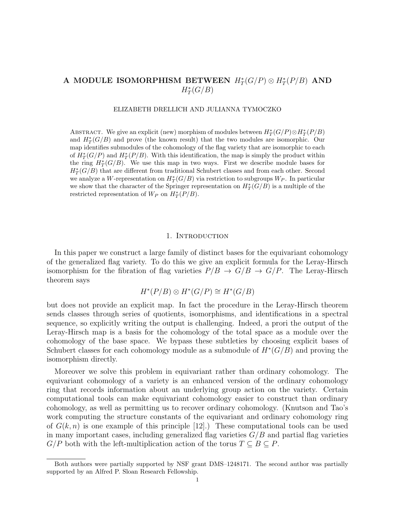### A MODULE ISOMORPHISM BETWEEN  $H^*_T(G/P) \otimes H^*_T(P/B)$  AND  $H^*_T(G/B)$

#### ELIZABETH DRELLICH AND JULIANNA TYMOCZKO

ABSTRACT. We give an explicit (new) morphism of modules between  $H^*_T(G/P) \otimes H^*_T(P/B)$ and  $H_T^*(G/B)$  and prove (the known result) that the two modules are isomorphic. Our map identifies submodules of the cohomology of the flag variety that are isomorphic to each of  $H^*_T(G/P)$  and  $H^*_T(P/B)$ . With this identification, the map is simply the product within the ring  $H^*_T(G/B)$ . We use this map in two ways. First we describe module bases for  $H^*_T(G/B)$  that are different from traditional Schubert classes and from each other. Second we analyze a W-representation on  $H^*_T(G/B)$  via restriction to subgroups  $W_P$ . In particular we show that the character of the Springer representation on  $H^*_T(G/B)$  is a multiple of the restricted representation of  $W_P$  on  $H^*_T(P/B)$ .

#### 1. Introduction

In this paper we construct a large family of distinct bases for the equivariant cohomology of the generalized flag variety. To do this we give an explicit formula for the Leray-Hirsch isomorphism for the fibration of flag varieties  $P/B \rightarrow G/B \rightarrow G/P$ . The Leray-Hirsch theorem says

$$
H^*(P/B) \otimes H^*(G/P) \cong H^*(G/B)
$$

but does not provide an explicit map. In fact the procedure in the Leray-Hirsch theorem sends classes through series of quotients, isomorphisms, and identifications in a spectral sequence, so explicitly writing the output is challenging. Indeed, a prori the output of the Leray-Hirsch map is a basis for the cohomology of the total space as a module over the cohomology of the base space. We bypass these subtleties by choosing explicit bases of Schubert classes for each cohomology module as a submodule of  $H^*(G/B)$  and proving the isomorphism directly.

Moreover we solve this problem in equivariant rather than ordinary cohomology. The equivariant cohomology of a variety is an enhanced version of the ordinary cohomology ring that records information about an underlying group action on the variety. Certain computational tools can make equivariant cohomology easier to construct than ordinary cohomology, as well as permitting us to recover ordinary cohomology. (Knutson and Tao's work computing the structure constants of the equivariant and ordinary cohomology ring of  $G(k, n)$  is one example of this principle [12].) These computational tools can be used in many important cases, including generalized flag varieties  $G/B$  and partial flag varieties  $G/P$  both with the left-multiplication action of the torus  $T \subseteq B \subseteq P$ .

Both authors were partially supported by NSF grant DMS–1248171. The second author was partially supported by an Alfred P. Sloan Research Fellowship.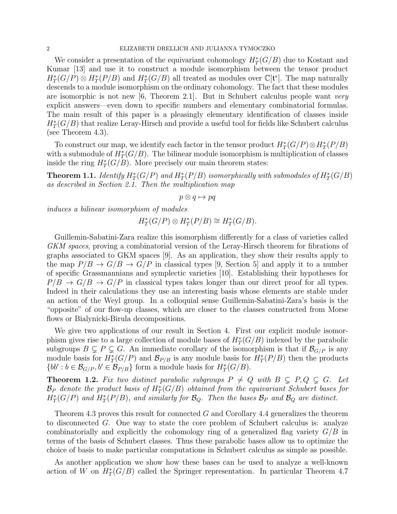We consider a presentation of the equivariant cohomology  $H^*_T(G/B)$  due to Kostant and Kumar [13] and use it to construct a module isomorphism between the tensor product  $H^*_T(G/P) \otimes H^*_T(P/B)$  and  $H^*_T(G/B)$  all treated as modules over  $\mathbb{C}[\mathfrak{t}^*]$ . The map naturally descends to a module isomorphism on the ordinary cohomology. The fact that these modules are isomorphic is not new  $[6,$  Theorem 2.1. But in Schubert calculus people want very explicit answers—even down to specific numbers and elementary combinatorial formulas. The main result of this paper is a pleasingly elementary identification of classes inside  $H^*_T(G/B)$  that realize Leray-Hirsch and provide a useful tool for fields like Schubert calculus (see Theorem 4.3).

To construct our map, we identify each factor in the tensor product  $H^*_T(G/P) \otimes H^*_T(P/B)$ with a submodule of  $H^*_T(G/B)$ . The bilinear module isomorphism is multiplication of classes inside the ring  $H^*_T(G/B)$ . More precisely our main theorem states:

**Theorem 1.1.** Identify  $H^*_T(G/P)$  and  $H^*_T(P/B)$  isomorphically with submodules of  $H^*_T(G/B)$ as described in Section 2.1. Then the multiplication map

 $p \otimes q \mapsto pq$ 

induces a bilinear isomorphism of modules

$$
H_T^*(G/P) \otimes H_T^*(P/B) \cong H_T^*(G/B).
$$

Guillemin-Sabatini-Zara realize this isomorphism differently for a class of varieties called GKM spaces, proving a combinatorial version of the Leray-Hirsch theorem for fibrations of graphs associated to GKM spaces [9]. As an application, they show their results apply to the map  $P/B \to G/B \to G/P$  in classical types [9, Section 5] and apply it to a number of specific Grassmannians and symplectic varieties [10]. Establishing their hypotheses for  $P/B \rightarrow G/B \rightarrow G/P$  in classical types takes longer than our direct proof for all types. Indeed in their calculations they use an interesting basis whose elements are stable under an action of the Weyl group. In a colloquial sense Guillemin-Sabatini-Zara's basis is the "opposite" of our flow-up classes, which are closer to the classes constructed from Morse flows or Bialynicki-Birula decompositions.

We give two applications of our result in Section 4. First our explicit module isomorphism gives rise to a large collection of module bases of  $H^*_T(G/B)$  indexed by the parabolic subgroups  $B \subsetneq P \subsetneq G$ . An immediate corollary of the isomorphism is that if  $\mathcal{B}_{G/P}$  is any module basis for  $H^*_T(G/P)$  and  $\mathcal{B}_{P/B}$  is any module basis for  $H^*_T(P/B)$  then the products  $\{bb' : b \in \mathcal{B}_{G/P}, b' \in \mathcal{B}_{P/B}\}\$ form a module basis for  $H^*_T(G/B)$ .

**Theorem 1.2.** Fix two distinct parabolic subgroups  $P \neq Q$  with  $B \subseteq P, Q \subseteq G$ . Let  $\mathcal{B}_P$  denote the product basis of  $H^*_T(G/B)$  obtained from the equivariant Schubert bases for  $H^*_T(G/P)$  and  $H^*_T(P/B)$ , and similarly for  $\mathcal{B}_Q$ . Then the bases  $\mathcal{B}_P$  and  $\mathcal{B}_Q$  are distinct.

Theorem 4.3 proves this result for connected  $G$  and Corollary 4.4 generalizes the theorem to disconnected G. One way to state the core problem of Schubert calculus is: analyze combinatorially and explicitly the cohomology ring of a generalized flag variety  $G/B$  in terms of the basis of Schubert classes. Thus these parabolic bases allow us to optimize the choice of basis to make particular computations in Schubert calculus as simple as possible.

As another application we show how these bases can be used to analyze a well-known action of W on  $H^*_T(G/B)$  called the Springer representation. In particular Theorem 4.7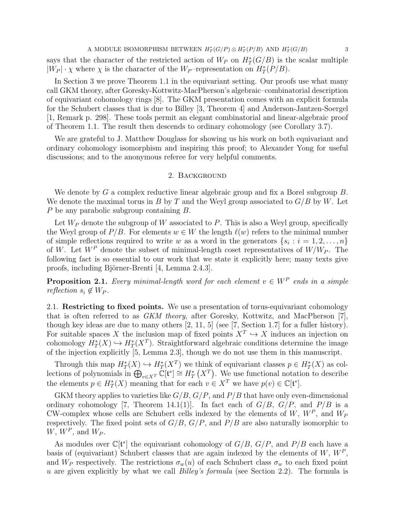A MODULE ISOMORPHISM BETWEEN  $H^*_T(G/P) \otimes H^*_T(P/B)$  AND  $H^*_T(G/B)$  3 says that the character of the restricted action of  $W_P$  on  $H^*_T(G/B)$  is the scalar multiple  $|W_P| \cdot \chi$  where  $\chi$  is the character of the  $W_P$ -representation on  $H^*_T(P/B)$ .

In Section 3 we prove Theorem 1.1 in the equivariant setting. Our proofs use what many call GKM theory, after Goresky-Kottwitz-MacPherson's algebraic–combinatorial description of equivariant cohomology rings [8]. The GKM presentation comes with an explicit formula for the Schubert classes that is due to Billey [3, Theorem 4] and Anderson-Jantzen-Soergel [1, Remark p. 298]. These tools permit an elegant combinatorial and linear-algebraic proof of Theorem 1.1. The result then descends to ordinary cohomology (see Corollary 3.7).

We are grateful to J. Matthew Douglass for showing us his work on both equivariant and ordinary cohomology isomorphism and inspiring this proof; to Alexander Yong for useful discussions; and to the anonymous referee for very helpful comments.

#### 2. Background

We denote by G a complex reductive linear algebraic group and fix a Borel subgroup B. We denote the maximal torus in B by T and the Weyl group associated to  $G/B$  by W. Let P be any parabolic subgroup containing B.

Let  $W_P$  denote the subgroup of W associated to P. This is also a Weyl group, specifically the Weyl group of  $P/B$ . For elements  $w \in W$  the length  $\ell(w)$  refers to the minimal number of simple reflections required to write w as a word in the generators  $\{s_i : i = 1, 2, \ldots, n\}$ of W. Let  $W^P$  denote the subset of minimal-length coset representatives of  $W/W_P$ . The following fact is so essential to our work that we state it explicitly here; many texts give proofs, including Björner-Brenti [4, Lemma 2.4.3].

**Proposition 2.1.** Every minimal-length word for each element  $v \in W^P$  ends in a simple reflection  $s_i \notin W_P$ .

2.1. Restricting to fixed points. We use a presentation of torus-equivariant cohomology that is often referred to as GKM theory, after Goresky, Kottwitz, and MacPherson [7], though key ideas are due to many others [2, 11, 5] (see [7, Section 1.7] for a fuller history). For suitable spaces X the inclusion map of fixed points  $X^T \hookrightarrow X$  induces an injection on cohomology  $H^*_T(X) \hookrightarrow H^*_T(X^T)$ . Straightforward algebraic conditions determine the image of the injection explicitly [5, Lemma 2.3], though we do not use them in this manuscript.

Through this map  $H^*_T(X) \hookrightarrow H^*_T(X^T)$  we think of equivariant classes  $p \in H^*_T(X)$  as collections of polynomials in  $\bigoplus_{v\in X^T} \mathbb{C}[\mathfrak{t}^*] \cong H^*_T(X^T)$ . We use functional notation to describe the elements  $p \in H^*_T(X)$  meaning that for each  $v \in X^T$  we have  $p(v) \in \mathbb{C}[\mathfrak{t}^*].$ 

GKM theory applies to varieties like  $G/B$ ,  $G/P$ , and  $P/B$  that have only even-dimensional ordinary cohomology [7, Theorem 14.1(1)]. In fact each of  $G/B$ ,  $G/P$ , and  $P/B$  is a CW-complex whose cells are Schubert cells indexed by the elements of  $W, W^P$ , and  $W_F$ respectively. The fixed point sets of  $G/B$ ,  $G/P$ , and  $P/B$  are also naturally isomorphic to  $W, W^P$ , and  $W_P$ .

As modules over  $\mathbb{C}[\mathfrak{t}^*]$  the equivariant cohomology of  $G/B$ ,  $G/P$ , and  $P/B$  each have a basis of (equivariant) Schubert classes that are again indexed by the elements of  $W, W^P$ , and  $W_P$  respectively. The restrictions  $\sigma_w(u)$  of each Schubert class  $\sigma_w$  to each fixed point u are given explicitly by what we call *Billey's formula* (see Section 2.2). The formula is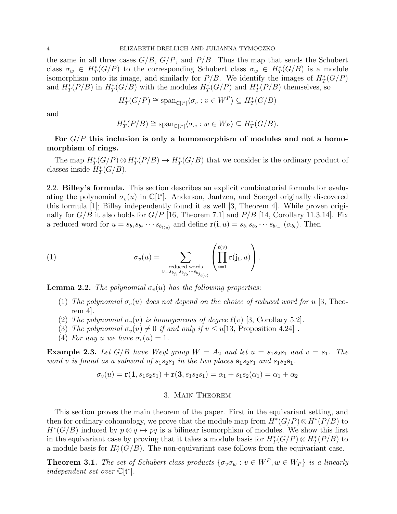#### 4 ELIZABETH DRELLICH AND JULIANNA TYMOCZKO

the same in all three cases  $G/B$ ,  $G/P$ , and  $P/B$ . Thus the map that sends the Schubert class  $\sigma_w \in H^*_T(G/P)$  to the corresponding Schubert class  $\sigma_w \in H^*_T(G/B)$  is a module isomorphism onto its image, and similarly for  $P/B$ . We identify the images of  $H^*_T(G/P)$ and  $H^*_T(P/B)$  in  $H^*_T(G/B)$  with the modules  $H^*_T(G/P)$  and  $H^*_T(P/B)$  themselves, so

$$
H_T^*(G/P) \cong \text{span}_{\mathbb{C}[\mathfrak{t}^*]} \langle \sigma_v : v \in W^P \rangle \subseteq H_T^*(G/B)
$$

and

$$
H_T^*(P/B) \cong \text{span}_{\mathbb{C}[\mathfrak{t}^*]} \langle \sigma_w : w \in W_P \rangle \subseteq H_T^*(G/B).
$$

### For  $G/P$  this inclusion is only a homomorphism of modules and not a homomorphism of rings.

The map  $H^*_T(G/P) \otimes H^*_T(P/B) \to H^*_T(G/B)$  that we consider is the ordinary product of classes inside  $H^*_T(G/B)$ .

2.2. Billey's formula. This section describes an explicit combinatorial formula for evaluating the polynomial  $\sigma_v(u)$  in  $\mathbb{C}[\mathfrak{t}^*]$ . Anderson, Jantzen, and Soergel originally discovered this formula  $|1|$ ; Billey independently found it as well  $|3$ , Theorem 4. While proven originally for  $G/B$  it also holds for  $G/P$  [16, Theorem 7.1] and  $P/B$  [14, Corollary 11.3.14]. Fix a reduced word for  $u = s_{b_1} s_{b_2} \cdots s_{b_{\ell(u)}}$  and define  $\mathbf{r}(\mathbf{i}, u) = s_{b_1} s_{b_2} \cdots s_{b_{i-1}} (\alpha_{b_i})$ . Then

(1) 
$$
\sigma_v(u) = \sum_{\substack{\text{reduced words} \\ v=s_{b_{j_1}}s_{b_{j_2}}\cdots s_{b_{j_{\ell(v)}}}}} \left(\prod_{i=1}^{\ell(v)} \mathbf{r}(j_i, u)\right).
$$

**Lemma 2.2.** The polynomial  $\sigma_v(u)$  has the following properties:

- (1) The polynomial  $\sigma_v(u)$  does not depend on the choice of reduced word for u [3, Theorem 4].
- (2) The polynomial  $\sigma_v(u)$  is homogeneous of degree  $\ell(v)$  [3, Corollary 5.2].
- (3) The polynomial  $\sigma_v(u) \neq 0$  if and only if  $v \leq u[13,$  Proposition 4.24].
- (4) For any u we have  $\sigma_e(u) = 1$ .

**Example 2.3.** Let  $G/B$  have Weyl group  $W = A_2$  and let  $u = s_1 s_2 s_1$  and  $v = s_1$ . The word v is found as a subword of  $s_1s_2s_1$  in the two places  $s_1s_2s_1$  and  $s_1s_2s_1$ .

$$
\sigma_v(u) = \mathbf{r}(1, s_1 s_2 s_1) + \mathbf{r}(3, s_1 s_2 s_1) = \alpha_1 + s_1 s_2(\alpha_1) = \alpha_1 + \alpha_2
$$

#### 3. Main Theorem

This section proves the main theorem of the paper. First in the equivariant setting, and then for ordinary cohomology, we prove that the module map from  $H^*(G/P) \otimes H^*(P/B)$  to  $H^*(G/B)$  induced by  $p \otimes q \mapsto pq$  is a bilinear isomorphism of modules. We show this first in the equivariant case by proving that it takes a module basis for  $H^*_T(G/P) \otimes H^*_T(P/B)$  to a module basis for  $H^*_T(G/B)$ . The non-equivariant case follows from the equivariant case.

**Theorem 3.1.** The set of Schubert class products  $\{\sigma_v \sigma_w : v \in W^P, w \in W_P\}$  is a linearly independent set over  $\mathbb{C}[\mathfrak{t}^*]$ .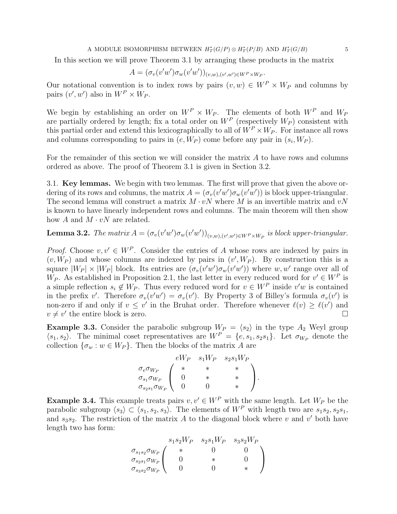#### A MODULE ISOMORPHISM BETWEEN  $H^*_T(G/P) \otimes H^*_T(P/B)$  AND  $H^*_T(G/B)$  5

In this section we will prove Theorem 3.1 by arranging these products in the matrix

$$
A = (\sigma_v(v'w')\sigma_w(v'w'))_{(v,w),(v',w')\in W^P\times W_P}.
$$

Our notational convention is to index rows by pairs  $(v, w) \in W^P \times W_P$  and columns by pairs  $(v', w')$  also in  $W^P \times W_P$ .

We begin by establishing an order on  $W^P \times W_P$ . The elements of both  $W^P$  and  $W_P$ are partially ordered by length; fix a total order on  $W^P$  (respectively  $W_P$ ) consistent with this partial order and extend this lexicographically to all of  $W^P \times W_P$ . For instance all rows and columns corresponding to pairs in  $(e, W_P)$  come before any pair in  $(s_i, W_P)$ .

For the remainder of this section we will consider the matrix A to have rows and columns ordered as above. The proof of Theorem 3.1 is given in Section 3.2.

3.1. Key lemmas. We begin with two lemmas. The first will prove that given the above ordering of its rows and columns, the matrix  $A = (\sigma_v(v'w')\sigma_w(v'w'))$  is block upper-triangular. The second lemma will construct a matrix  $M \cdot vN$  where M is an invertible matrix and  $vN$ is known to have linearly independent rows and columns. The main theorem will then show how A and  $M \cdot vN$  are related.

**Lemma 3.2.** The matrix  $A = (\sigma_v(v'w')\sigma_w(v'w'))_{(v,w),(v',w')\in W^P\times W_P}$  is block upper-triangular.

*Proof.* Choose  $v, v' \in W^P$ . Consider the entries of A whose rows are indexed by pairs in  $(v, W_P)$  and whose columns are indexed by pairs in  $(v', W_P)$ . By construction this is a square  $|W_P| \times |W_P|$  block. Its entries are  $(\sigma_v(v'w')\sigma_w(v'w'))$  where  $w, w'$  range over all of W<sub>P</sub>. As established in Proposition 2.1, the last letter in every reduced word for  $v' \in W^P$  is a simple reflection  $s_i \notin W_P$ . Thus every reduced word for  $v \in W^P$  inside  $v'w$  is contained in the prefix v'. Therefore  $\sigma_v(v'w') = \sigma_v(v')$ . By Property 3 of Billey's formula  $\sigma_v(v')$  is non-zero if and only if  $v \leq v'$  in the Bruhat order. Therefore whenever  $\ell(v) \geq \ell(v')$  and  $v \neq v'$  the entire block is zero.

**Example 3.3.** Consider the parabolic subgroup  $W_P = \langle s_2 \rangle$  in the type  $A_2$  Weyl group  $\langle s_1, s_2 \rangle$ . The minimal coset representatives are  $W^P = \{e, s_1, s_2s_1\}$ . Let  $\sigma_{W_P}$  denote the collection  $\{\sigma_w : w \in W_P\}$ . Then the blocks of the matrix A are

$$
\begin{array}{ccc}\n& eW_P & s_1W_P & s_2s_1W_P \\
\sigma_e \sigma_{W_P} & * & * & * \\
\sigma_{s_1} \sigma_{W_P} & 0 & * & * \\
\sigma_{s_2s_1} \sigma_{W_P} & 0 & 0 & * \n\end{array}
$$

**Example 3.4.** This example treats pairs  $v, v' \in W^P$  with the same length. Let  $W_P$  be the parabolic subgroup  $\langle s_3 \rangle \subset \langle s_1, s_2, s_3 \rangle$ . The elements of  $W^P$  with length two are  $s_1s_2, s_2s_1$ , and  $s_3s_2$ . The restriction of the matrix A to the diagonal block where v and v' both have length two has form:

$$
\sigma_{s_1s_2}\sigma_{W_P}\begin{pmatrix} s_1s_2W_P & s_2s_1W_P & s_3s_2W_P \ * & 0 & 0 \ \sigma_{s_2s_1}\sigma_{W_P} & 0 & * & 0 \ 0 & 0 & * & 0 \ \sigma_{s_3s_2}\sigma_{W_P} & 0 & 0 & * \end{pmatrix}
$$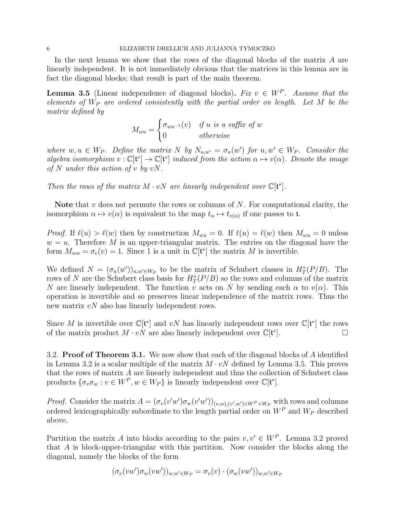In the next lemma we show that the rows of the diagonal blocks of the matrix A are linearly independent. It is not immediately obvious that the matrices in this lemma are in fact the diagonal blocks; that result is part of the main theorem.

**Lemma 3.5** (Linear independence of diagonal blocks). Fix  $v \in W^P$ . Assume that the elements of  $W_P$  are ordered consistently with the partial order on length. Let M be the matrix defined by

$$
M_{wu} = \begin{cases} \sigma_{wu^{-1}}(v) & \text{if } u \text{ is a suffix of } w \\ 0 & \text{otherwise} \end{cases}
$$

where  $w, u \in W_P$ . Define the matrix N by  $N_{u,w'} = \sigma_u(w')$  for  $u, w' \in W_P$ . Consider the algebra isomorphism  $v : \mathbb{C}[\mathfrak{t}^*] \to \mathbb{C}[\mathfrak{t}^*]$  induced from the action  $\alpha \mapsto v(\alpha)$ . Denote the image of N under this action of v by  $vN$ .

Then the rows of the matrix  $M \cdot vN$  are linearly independent over  $\mathbb{C}[\mathfrak{t}^*].$ 

Note that  $v$  does not permute the rows or columns of  $N$ . For computational clarity, the isomorphism  $\alpha \mapsto v(\alpha)$  is equivalent to the map  $t_{\alpha} \mapsto t_{v(\alpha)}$  if one passes to t.

*Proof.* If  $\ell(u) > \ell(w)$  then by construction  $M_{wu} = 0$ . If  $\ell(u) = \ell(w)$  then  $M_{wu} = 0$  unless  $w = u$ . Therefore M is an upper-triangular matrix. The entries on the diagonal have the form  $M_{ww} = \sigma_e(v) = 1$ . Since 1 is a unit in  $\mathbb{C}[\mathfrak{t}^*]$  the matrix M is invertible.

We defined  $N = (\sigma_u(w'))_{u,w'\in W_P}$  to be the matrix of Schubert classes in  $H^*_T(P/B)$ . The rows of N are the Schubert class basis for  $H^*_T(P/B)$  so the rows and columns of the matrix N are linearly independent. The function v acts on N by sending each  $\alpha$  to  $v(\alpha)$ . This operation is invertible and so preserves linear independence of the matrix rows. Thus the new matrix  $vN$  also has linearly independent rows.

Since M is invertible over  $\mathbb{C}[\mathfrak{t}^*]$  and  $vN$  has linearly independent rows over  $\mathbb{C}[\mathfrak{t}^*]$  the rows of the matrix product  $M \cdot v\dot{N}$  are also linearly independent over  $\mathbb{C}[\mathfrak{t}^*]$  $\begin{bmatrix} . & . & . \ . & . & \ \end{bmatrix}$ 

3.2. **Proof of Theorem 3.1.** We now show that each of the diagonal blocks of A identified in Lemma 3.2 is a scalar multiple of the matrix  $M \cdot vN$  defined by Lemma 3.5. This proves that the rows of matrix A are linearly independent and thus the collection of Schubert class products  $\{\sigma_v \sigma_w : v \in W^P, w \in W_P\}$  is linearly independent over  $\mathbb{C}[\mathfrak{t}^*].$ 

*Proof.* Consider the matrix  $A = (\sigma_v(v'w')\sigma_w(v'w'))_{(v,w),(v',w')\in W^P\times W_P}$  with rows and columns ordered lexicographically subordinate to the length partial order on  $W^P$  and  $W_P$  described above.

Partition the matrix A into blocks according to the pairs  $v, v' \in W^P$ . Lemma 3.2 proved that A is block-upper-triangular with this partition. Now consider the blocks along the diagonal, namely the blocks of the form

$$
(\sigma_v(vw')\sigma_w(vw'))_{w,w'\in W_P}=\sigma_v(v)\cdot (\sigma_w(vw'))_{w,w'\in W_P}
$$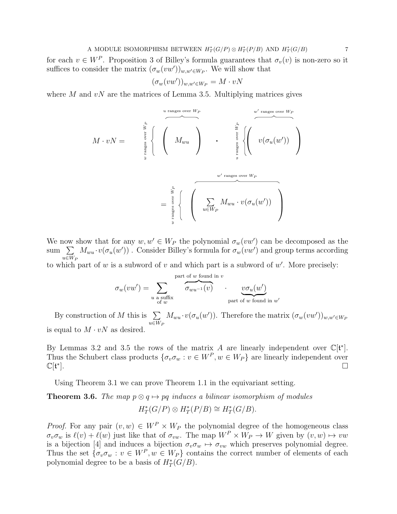A MODULE ISOMORPHISM BETWEEN  $H^*_T(G/P) \otimes H^*_T(P/B)$  AND  $H^*_T(G/B)$  7

for each  $v \in W^P$ . Proposition 3 of Billey's formula guarantees that  $\sigma_v(v)$  is non-zero so it suffices to consider the matrix  $(\sigma_w(vw'))_{w,w'\in W_P}$ . We will show that

$$
(\sigma_w(vw'))_{w,w'\in W_P} = M \cdot vN
$$

where M and  $vN$  are the matrices of Lemma 3.5. Multiplying matrices gives

M · vN = <sup>M</sup>wu u ranges over WP w ranges over WP <sup>v</sup>(σu(<sup>w</sup> 0 )) w0 ranges over WP u ranges over WP = P u∈W<sup>P</sup> Mwu · v(σu(w 0 )) w0 ranges over WP w ranges over WP

We now show that for any  $w, w' \in W_P$  the polynomial  $\sigma_w(vw')$  can be decomposed as the sum  $\sum$  $u \in W_P$  $M_{wu} \cdot v(\sigma_u(w'))$ . Consider Billey's formula for  $\sigma_w(vw')$  and group terms according

to which part of  $w$  is a subword of  $v$  and which part is a subword of  $w'$ . More precisely:

$$
\sigma_w(vw') = \sum_{\substack{u \text{ a suffix} \\ \text{ of } w}} \overbrace{\sigma_{wu^{-1}(v)}}^{\text{part of } w \text{ found in } v} \cdot \underbrace{v\sigma_u(w')}_{\text{part of } w \text{ found in } w'}
$$

By construction of M this is  $\sum$  $u \in W_F$  $M_{wu} \cdot v(\sigma_u(w'))$ . Therefore the matrix  $(\sigma_w(vw'))_{w,w' \in W_P}$ is equal to  $M \cdot vN$  as desired.

By Lemmas 3.2 and 3.5 the rows of the matrix A are linearly independent over  $\mathbb{C}[\mathfrak{t}^*].$ Thus the Schubert class products  $\{\sigma_v \sigma_w : v \in W^P, w \in W_P\}$  are linearly independent over C[t ∗ ].

Using Theorem 3.1 we can prove Theorem 1.1 in the equivariant setting.

### **Theorem 3.6.** The map  $p \otimes q \mapsto pq$  induces a bilinear isomorphism of modules  $H^*_T(G/P) \otimes H^*_T(P/B) \cong H^*_T(G/B).$

*Proof.* For any pair  $(v, w) \in W^P \times W_P$  the polynomial degree of the homogeneous class  $\sigma_v \sigma_w$  is  $\ell(v) + \ell(w)$  just like that of  $\sigma_{vw}$ . The map  $W^P \times W_P \to W$  given by  $(v, w) \mapsto vw$ is a bijection [4] and induces a bijection  $\sigma_v \sigma_w \mapsto \sigma_{vw}$  which preserves polynomial degree. Thus the set  $\{\sigma_v \sigma_w : v \in W^P, w \in W_P\}$  contains the correct number of elements of each polynomial degree to be a basis of  $H^*_T(G/B)$ .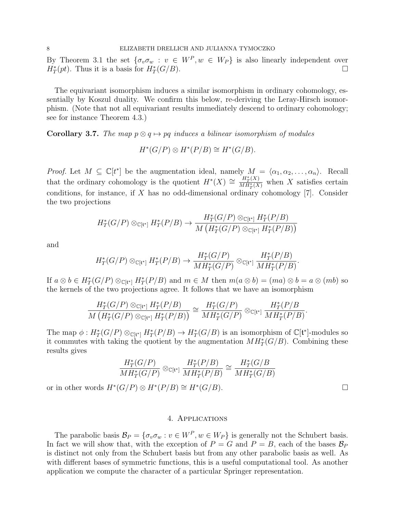By Theorem 3.1 the set  $\{\sigma_v \sigma_w : v \in W^P, w \in W_P\}$  is also linearly independent over  $H^*_T(pt)$ . Thus it is a basis for  $H^*_T(G/B)$ .

The equivariant isomorphism induces a similar isomorphism in ordinary cohomology, essentially by Koszul duality. We confirm this below, re-deriving the Leray-Hirsch isomorphism. (Note that not all equivariant results immediately descend to ordinary cohomology; see for instance Theorem 4.3.)

**Corollary 3.7.** The map  $p \otimes q \mapsto pq$  induces a bilinear isomorphism of modules

$$
H^*(G/P) \otimes H^*(P/B) \cong H^*(G/B).
$$

*Proof.* Let  $M \subseteq \mathbb{C}[t^*]$  be the augmentation ideal, namely  $M = \langle \alpha_1, \alpha_2, \ldots, \alpha_n \rangle$ . Recall that the ordinary cohomology is the quotient  $H^*(X) \cong \frac{H^*(X)}{MH^*(X)}$  $\frac{H_T(X)}{MH_T^*(X)}$  when X satisfies certain conditions, for instance, if  $X$  has no odd-dimensional ordinary cohomology  $[7]$ . Consider the two projections

$$
H_T^*(G/P) \otimes_{\mathbb{C}[\mathfrak{t}^*]} H_T^*(P/B) \to \frac{H_T^*(G/P) \otimes_{\mathbb{C}[\mathfrak{t}^*]} H_T^*(P/B)}{M\left(H_T^*(G/P) \otimes_{\mathbb{C}[\mathfrak{t}^*]} H_T^*(P/B)\right)}
$$

and

$$
H_T^*(G/P) \otimes_{\mathbb{C}[\mathfrak{t}^*]} H_T^*(P/B) \to \frac{H_T^*(G/P)}{MH_T^*(G/P)} \otimes_{\mathbb{C}[\mathfrak{t}^*]} \frac{H_T^*(P/B)}{MH_T^*(P/B)}.
$$

If  $a \otimes b \in H^*_T(G/P) \otimes_{\mathbb{C}[\mathfrak{k}^*]} H^*_T(P/B)$  and  $m \in M$  then  $m(a \otimes b) = (ma) \otimes b = a \otimes (mb)$  so the kernels of the two projections agree. It follows that we have an isomorphism

$$
\frac{H_T^*(G/P) \otimes_{\mathbb{C}[\mathfrak{t}^*]} H_T^*(P/B)}{M\left(H_T^*(G/P) \otimes_{\mathbb{C}[\mathfrak{t}^*]} H_T^*(P/B)\right)} \cong \frac{H_T^*(G/P)}{M H_T^*(G/P)} \otimes_{\mathbb{C}[\mathfrak{t}^*]} \frac{H_T^*(P/B)}{M H_T^*(P/B)}
$$

The map  $\phi: H^*_T(G/P) \otimes_{\mathbb{C}[\mathfrak{k}^*]} H^*_T(P/B) \to H^*_T(G/B)$  is an isomorphism of  $\mathbb{C}[\mathfrak{k}^*]$ -modules so it commutes with taking the quotient by the augmentation  $MH_T^*(G/B)$ . Combining these results gives

$$
\frac{H_T^*(G/P)}{MH_T^*(G/P)} \otimes_{\mathbb{C}[\mathfrak{t}^*]} \frac{H_T^*(P/B)}{MH_T^*(P/B)} \cong \frac{H_T^*(G/B)}{MH_T^*(G/B)}
$$

or in other words  $H^*(G/P) \otimes H^*(P/B) \cong H^*(G/B)$ . □

.

#### 4. Applications

The parabolic basis  $\mathcal{B}_P = \{\sigma_v \sigma_w : v \in W^P, w \in W_P\}$  is generally not the Schubert basis. In fact we will show that, with the exception of  $P = G$  and  $P = B$ , each of the bases  $\mathcal{B}_P$ is distinct not only from the Schubert basis but from any other parabolic basis as well. As with different bases of symmetric functions, this is a useful computational tool. As another application we compute the character of a particular Springer representation.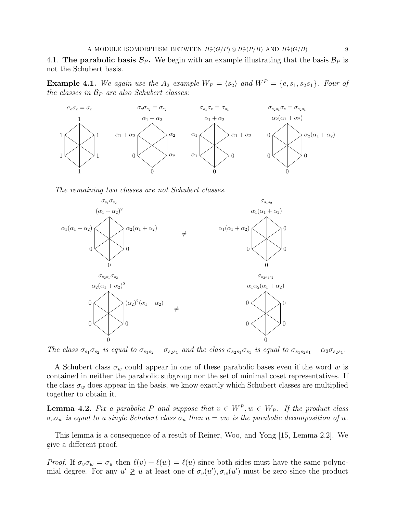4.1. The parabolic basis  $\mathcal{B}_P$ . We begin with an example illustrating that the basis  $\mathcal{B}_P$  is not the Schubert basis.

**Example 4.1.** We again use the  $A_2$  example  $W_P = \langle s_2 \rangle$  and  $W^P = \{e, s_1, s_2s_1\}$ . Four of the classes in  $\mathcal{B}_P$  are also Schubert classes:



The remaining two classes are not Schubert classes.



The class  $\sigma_{s_1}\sigma_{s_2}$  is equal to  $\sigma_{s_1s_2}+\sigma_{s_2s_1}$  and the class  $\sigma_{s_2s_1}\sigma_{s_1}$  is equal to  $\sigma_{s_1s_2s_1}+\alpha_2\sigma_{s_2s_1}$ .

A Schubert class  $\sigma_w$  could appear in one of these parabolic bases even if the word w is contained in neither the parabolic subgroup nor the set of minimal coset representatives. If the class  $\sigma_w$  does appear in the basis, we know exactly which Schubert classes are multiplied together to obtain it.

**Lemma 4.2.** Fix a parabolic P and suppose that  $v \in W^P, w \in W_P$ . If the product class  $\sigma_v \sigma_w$  is equal to a single Schubert class  $\sigma_u$  then  $u = vw$  is the parabolic decomposition of u.

This lemma is a consequence of a result of Reiner, Woo, and Yong [15, Lemma 2.2]. We give a different proof.

*Proof.* If  $\sigma_v \sigma_w = \sigma_u$  then  $\ell(v) + \ell(w) = \ell(u)$  since both sides must have the same polynomial degree. For any  $u' \not\geq u$  at least one of  $\sigma_v(u'), \sigma_w(u')$  must be zero since the product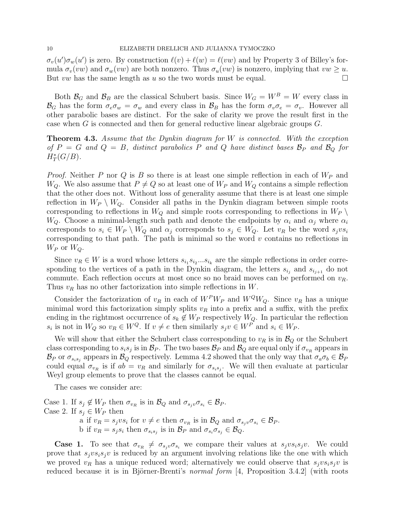$\sigma_v(u')\sigma_w(u')$  is zero. By construction  $\ell(v) + \ell(w) = \ell(vw)$  and by Property 3 of Billey's formula  $\sigma_v(vw)$  and  $\sigma_w(vw)$  are both nonzero. Thus  $\sigma_u(vw)$  is nonzero, implying that  $vw \geq u$ . But vw has the same length as u so the two words must be equal.  $\Box$ 

Both  $\mathcal{B}_G$  and  $\mathcal{B}_B$  are the classical Schubert basis. Since  $W_G = W^B = W$  every class in  $\mathcal{B}_G$  has the form  $\sigma_e \sigma_w = \sigma_w$  and every class in  $\mathcal{B}_B$  has the form  $\sigma_v \sigma_e = \sigma_v$ . However all other parabolic bases are distinct. For the sake of clarity we prove the result first in the case when G is connected and then for general reductive linear algebraic groups G.

**Theorem 4.3.** Assume that the Dynkin diagram for  $W$  is connected. With the exception of  $P = G$  and  $Q = B$ , distinct parabolics P and Q have distinct bases  $\mathcal{B}_P$  and  $\mathcal{B}_Q$  for  $H^*_T(G/B)$ .

*Proof.* Neither P nor Q is B so there is at least one simple reflection in each of  $W_P$  and  $W_Q$ . We also assume that  $P \neq Q$  so at least one of  $W_P$  and  $W_Q$  contains a simple reflection that the other does not. Without loss of generality assume that there is at least one simple reflection in  $W_P \setminus W_Q$ . Consider all paths in the Dynkin diagram between simple roots corresponding to reflections in  $W_Q$  and simple roots corresponding to reflections in  $W_P \setminus$  $W_Q$ . Choose a minimal-length such path and denote the endpoints by  $\alpha_i$  and  $\alpha_j$  where  $\alpha_i$ corresponds to  $s_i \in W_P \setminus W_Q$  and  $\alpha_j$  corresponds to  $s_j \in W_Q$ . Let  $v_R$  be the word  $s_j v s_i$ corresponding to that path. The path is minimal so the word  $v$  contains no reflections in  $W_P$  or  $W_Q$ .

Since  $v_R \in W$  is a word whose letters  $s_{i_1} s_{i_2} ... s_{i_k}$  are the simple reflections in order corresponding to the vertices of a path in the Dynkin diagram, the letters  $s_{i_j}$  and  $s_{i_{j+1}}$  do not commute. Each reflection occurs at most once so no braid moves can be performed on  $v_R$ . Thus  $v_R$  has no other factorization into simple reflections in W.

Consider the factorization of  $v_R$  in each of  $W^P W_P$  and  $W^Q W_Q$ . Since  $v_R$  has a unique minimal word this factorization simply splits  $v_R$  into a prefix and a suffix, with the prefix ending in the rightmost occurrence of  $s_k \notin W_P$  respectively  $W_Q$ . In particular the reflection  $s_i$  is not in  $W_Q$  so  $v_R \in W^Q$ . If  $v \neq e$  then similarly  $s_j v \in W^P$  and  $s_i \in W_P$ .

We will show that either the Schubert class corresponding to  $v_R$  is in  $\mathcal{B}_Q$  or the Schubert class corresponding to  $s_is_j$  is in  $\mathcal{B}_P$ . The two bases  $\mathcal{B}_P$  and  $\mathcal{B}_Q$  are equal only if  $\sigma_{v_R}$  appears in  $\mathcal{B}_P$  or  $\sigma_{s_is_j}$  appears in  $\mathcal{B}_Q$  respectively. Lemma 4.2 showed that the only way that  $\sigma_a\sigma_b \in \mathcal{B}_P$ could equal  $\sigma_{v_R}$  is if  $ab = v_R$  and similarly for  $\sigma_{s_i s_j}$ . We will then evaluate at particular Weyl group elements to prove that the classes cannot be equal.

The cases we consider are:

Case 1. If  $s_j \notin W_P$  then  $\sigma_{v_R}$  is in  $\mathcal{B}_Q$  and  $\sigma_{s_jv}\sigma_{s_i} \in \mathcal{B}_P$ . Case 2. If  $s_j \in W_P$  then a if  $v_R = s_j v s_i$  for  $v \neq e$  then  $\sigma_{v_R}$  is in  $\mathcal{B}_Q$  and  $\sigma_{s_j} \sigma_{s_i} \in \mathcal{B}_P$ . b if  $v_R = s_j s_i$  then  $\sigma_{s_i s_j}$  is in  $\mathcal{B}_P$  and  $\sigma_{s_i} \sigma_{s_j} \in \mathcal{B}_Q$ .

**Case 1.** To see that  $\sigma_{v_R} \neq \sigma_{s_jv} \sigma_{s_i}$  we compare their values at  $s_j v s_i s_j v$ . We could prove that  $s_i v s_i s_i v$  is reduced by an argument involving relations like the one with which we proved  $v_R$  has a unique reduced word; alternatively we could observe that  $s_jv s_i s_j v$  is reduced because it is in Björner-Brenti's *normal form* [4, Proposition 3.4.2] (with roots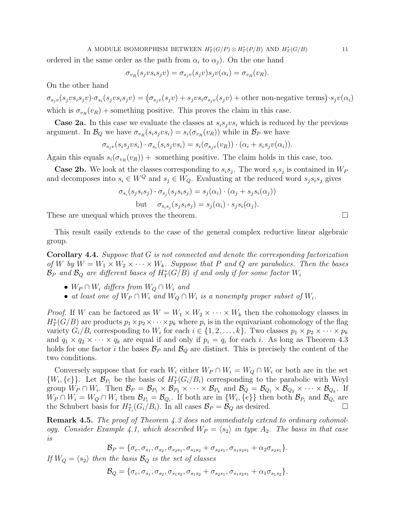#### A MODULE ISOMORPHISM BETWEEN  $H^*_T(G/P) \otimes H^*_T(P/B)$  AND  $H^*_T(G/B)$  11

ordered in the same order as the path from  $\alpha_i$  to  $\alpha_j$ ). On the one hand

$$
\sigma_{v_R}(s_j v s_i s_j v) = \sigma_{s_j v}(s_j v) s_j v(\alpha_i) = \sigma_{v_R}(v_R).
$$

On the other hand

 $\sigma_{s_jv}(s_jvs_is_jv)\cdot\sigma_{s_i}(s_jvs_is_jv) = (\sigma_{s_jv}(s_jv) + s_jvs_i\sigma_{s_jv}(s_jv) + \text{other non-negative terms})\cdot s_jv(\alpha_i)$ which is  $\sigma_{v_R}(v_R)$  + something positive. This proves the claim in this case.

**Case 2a.** In this case we evaluate the classes at  $s_i s_j v s_i$  which is reduced by the previous argument. In  $\mathcal{B}_Q$  we have  $\sigma_{v_R}(s_i s_j v s_i) = s_i(\sigma_{v_R}(v_R))$  while in  $\mathcal{B}_P$  we have

$$
\sigma_{s_jv}(s_i s_j v s_i) \cdot \sigma_{s_i}(s_i s_j v s_i) = s_i(\sigma_{s_jv}(v_R)) \cdot (\alpha_i + s_i s_j v(\alpha_i)).
$$

Again this equals  $s_i(\sigma_{v_R}(v_R))$  + something positive. The claim holds in this case, too.

**Case 2b.** We look at the classes corresponding to  $s_i s_j$ . The word  $s_i s_j$  is contained in  $W_F$ and decomposes into  $s_i \in W^Q$  and  $s_j \in W_Q$ . Evaluating at the reduced word  $s_j s_i s_j$  gives

$$
\sigma_{s_i}(s_j s_i s_j) \cdot \sigma_{s_j}(s_j s_i s_j) = s_j(\alpha_i) \cdot (\alpha_j + s_j s_i(\alpha_j))
$$
  
but 
$$
\sigma_{s_i s_j}(s_j s_i s_j) = s_j(\alpha_i) \cdot s_j s_i(\alpha_j).
$$

These are unequal which proves the theorem.

This result easily extends to the case of the general complex reductive linear algebraic group.

Corollary 4.4. Suppose that G is not connected and denote the corresponding factorization of W by  $W = W_1 \times W_2 \times \cdots \times W_k$ . Suppose that P and Q are parabolics. Then the bases  $\mathcal{B}_P$  and  $\mathcal{B}_Q$  are different bases of  $H^*_T(G/B)$  if and only if for some factor  $W_i$ 

- $W_P \cap W_i$  differs from  $W_Q \cap W_i$  and
- at least one of  $W_P \cap W_i$  and  $W_Q \cap W_i$  is a nonempty proper subset of  $W_i$ .

*Proof.* If W can be factored as  $W = W_1 \times W_2 \times \cdots \times W_k$  then the cohomology classes in  $H^*_T(G/B)$  are products  $p_1 \times p_2 \times \cdots \times p_k$  where  $p_i$  is in the equivariant cohomology of the flag variety  $G_i/B_i$  corresponding to  $W_i$  for each  $i \in \{1, 2, \ldots, k\}$ . Two classes  $p_1 \times p_2 \times \cdots \times p_k$ and  $q_1 \times q_2 \times \cdots \times q_k$  are equal if and only if  $p_i = q_i$  for each i. As long as Theorem 4.3 holds for one factor i the bases  $\mathcal{B}_P$  and  $\mathcal{B}_Q$  are distinct. This is precisely the content of the two conditions.

Conversely suppose that for each  $W_i$  either  $W_P \cap W_i = W_Q \cap W_i$  or both are in the set  $\{W_i, \{e\}\}\.$  Let  $\mathcal{B}_{P_i}$  be the basis of  $H^*_T(G_i/B_i)$  corresponding to the parabolic with Weyl group  $W_P \cap W_i$ . Then  $\mathcal{B}_P = \mathcal{B}_{P_1} \times \mathcal{B}_{P_2} \times \cdots \times \mathcal{B}_{P_k}$  and  $\mathcal{B}_Q = \mathcal{B}_{Q_1} \times \mathcal{B}_{Q_2} \times \cdots \times \mathcal{B}_{Q_k}$ . If  $W_P \cap W_i = W_Q \cap W_i$  then  $\mathcal{B}_{P_i} = \mathcal{B}_{Q_i}$ . If both are in  $\{W_i, \{e\}\}\$  then both  $\mathcal{B}_{P_i}$  and  $\mathcal{B}_{Q_i}$  are the Schubert basis for  $H_{T_i}^*(G_i/B_i)$ . In all cases  $\mathcal{B}_P = \mathcal{B}_Q$  as desired.

Remark 4.5. The proof of Theorem 4.3 does not immediately extend to ordinary cohomology. Consider Example 4.1, which described  $W_P = \langle s_2 \rangle$  in type  $A_2$ . The basis in that case is

$$
\mathcal{B}_P = \{\sigma_e, \sigma_{s_1}, \sigma_{s_2}, \sigma_{s_2s_1}, \sigma_{s_1s_2} + \sigma_{s_2s_1}, \sigma_{s_1s_2s_1} + \alpha_2 \sigma_{s_2s_1}\}.
$$

If  $W_Q = \langle s_2 \rangle$  then the basis  $\mathcal{B}_Q$  is the set of classes

$$
\mathcal{B}_Q = \{\sigma_e, \sigma_{s_1}, \sigma_{s_2}, \sigma_{s_1s_2}, \sigma_{s_1s_2} + \sigma_{s_2s_1}, \sigma_{s_1s_2s_1} + \alpha_1 \sigma_{s_1s_2}\}.
$$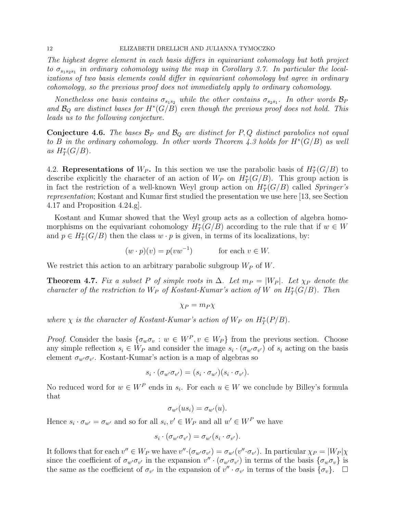#### 12 ELIZABETH DRELLICH AND JULIANNA TYMOCZKO

The highest degree element in each basis differs in equivariant cohomology but both project to  $\sigma_{s_1s_2s_1}$  in ordinary cohomology using the map in Corollary 3.7. In particular the localizations of two basis elements could differ in equivariant cohomology but agree in ordinary cohomology, so the previous proof does not immediately apply to ordinary cohomology.

Nonetheless one basis contains  $\sigma_{s_1s_2}$  while the other contains  $\sigma_{s_2s_1}$ . In other words  $\mathcal{B}_F$ and  $\mathcal{B}_Q$  are distinct bases for  $H^*(G/B)$  even though the previous proof does not hold. This leads us to the following conjecture.

**Conjecture 4.6.** The bases  $\mathcal{B}_P$  and  $\mathcal{B}_Q$  are distinct for P, Q distinct parabolics not equal to B in the ordinary cohomology. In other words Theorem 4.3 holds for  $H^*(G/B)$  as well as  $H^*_T(G/B)$ .

4.2. Representations of  $W_P$ . In this section we use the parabolic basis of  $H^*_T(G/B)$  to describe explicitly the character of an action of  $W_P$  on  $H^*_T(G/B)$ . This group action is in fact the restriction of a well-known Weyl group action on  $H^*_T(G/B)$  called Springer's representation; Kostant and Kumar first studied the presentation we use here [13, see Section 4.17 and Proposition 4.24.g].

Kostant and Kumar showed that the Weyl group acts as a collection of algebra homomorphisms on the equivariant cohomology  $H^*_T(G/B)$  according to the rule that if  $w \in W$ and  $p \in H^*_T(G/B)$  then the class  $w \cdot p$  is given, in terms of its localizations, by:

$$
(w \cdot p)(v) = p(vw^{-1}) \qquad \text{for each } v \in W.
$$

We restrict this action to an arbitrary parabolic subgroup  $W_P$  of W.

**Theorem 4.7.** Fix a subset P of simple roots in  $\Delta$ . Let  $m_P = |W_P|$ . Let  $\chi_P$  denote the character of the restriction to  $W_P$  of Kostant-Kumar's action of W on  $H^*_T(G/B)$ . Then

$$
\chi_P = m_P \chi
$$

where  $\chi$  is the character of Kostant-Kumar's action of  $W_P$  on  $H^*_T(P/B)$ .

*Proof.* Consider the basis  $\{\sigma_w \sigma_v : w \in W^P, v \in W_P\}$  from the previous section. Choose any simple reflection  $s_i \in W_P$  and consider the image  $s_i \cdot (\sigma_{w'} \sigma_{v'})$  of  $s_i$  acting on the basis element  $\sigma_{w'}\sigma_{v'}$ . Kostant-Kumar's action is a map of algebras so

$$
s_i \cdot (\sigma_{w'} \sigma_{v'}) = (s_i \cdot \sigma_{w'}) (s_i \cdot \sigma_{v'}).
$$

No reduced word for  $w \in W^P$  ends in  $s_i$ . For each  $u \in W$  we conclude by Billey's formula that

$$
\sigma_{w'}(us_i) = \sigma_{w'}(u).
$$

Hence  $s_i \cdot \sigma_{w'} = \sigma_{w'}$  and so for all  $s_i, v' \in W_P$  and all  $w' \in W^P$  we have

$$
s_i \cdot (\sigma_{w'} \sigma_{v'}) = \sigma_{w'}(s_i \cdot \sigma_{v'}).
$$

It follows that for each  $v'' \in W_P$  we have  $v'' \cdot (\sigma_{w'} \sigma_{v'}) = \sigma_{w'}(v'' \cdot \sigma_{v'})$ . In particular  $\chi_P = |W_P| \chi$ since the coefficient of  $\sigma_{w'}\sigma_{v'}$  in the expansion  $v'' \cdot (\sigma_{w'}\sigma_{v'})$  in terms of the basis  $\{\sigma_w\sigma_v\}$  is the same as the coefficient of  $\sigma_{v'}$  in the expansion of  $v'' \cdot \sigma_{v'}$  in terms of the basis  $\{\sigma_v\}$ .